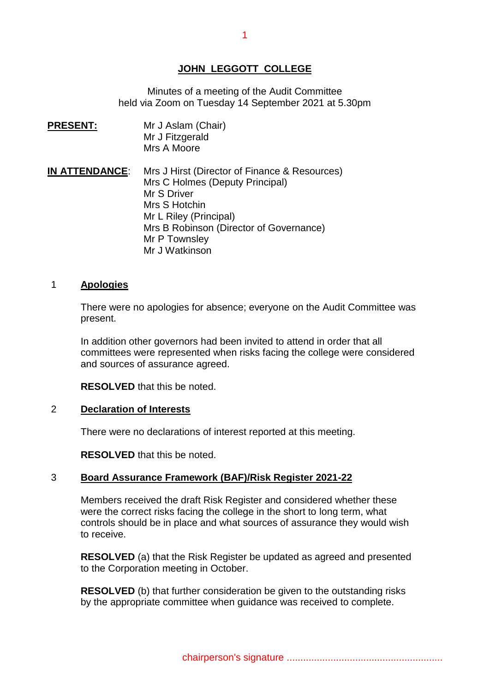## **JOHN LEGGOTT COLLEGE**

Minutes of a meeting of the Audit Committee held via Zoom on Tuesday 14 September 2021 at 5.30pm

**PRESENT: PRESENT:** Mr J Aslam(Chair) Mr J Fitzgerald Mrs A Moore

**IN ATTENDANCE**: Mrs J Hirst (Director of Finance & Resources) Mrs C Holmes (Deputy Principal) Mr S Driver Mrs S Hotchin Mr L Riley (Principal) Mrs B Robinson (Director of Governance) Mr P Townsley Mr J Watkinson

#### 1 **Apologies**

There were no apologies for absence; everyone on the Audit Committee was present.

In addition other governors had been invited to attend in order that all committees were represented when risks facing the college were considered and sources of assurance agreed.

**RESOLVED** that this be noted.

#### 2 **Declaration of Interests**

There were no declarations of interest reported at this meeting.

**RESOLVED** that this be noted.

## 3 **Board Assurance Framework (BAF)/Risk Register 2021-22**

Members received the draft Risk Register and considered whether these were the correct risks facing the college in the short to long term, what controls should be in place and what sources of assurance they would wish to receive.

**RESOLVED** (a) that the Risk Register be updated as agreed and presented to the Corporation meeting in October.

**RESOLVED** (b) that further consideration be given to the outstanding risks by the appropriate committee when guidance was received to complete.